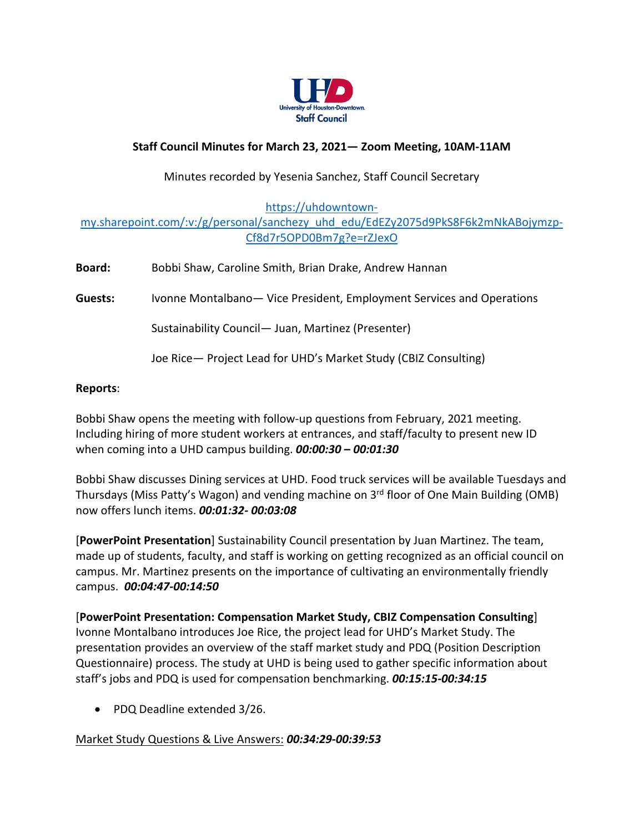

## **Staff Council Minutes for March 23, 2021— Zoom Meeting, 10AM-11AM**

### Minutes recorded by Yesenia Sanchez, Staff Council Secretary

[https://uhdowntown-](https://uhdowntown-my.sharepoint.com/:v:/g/personal/sanchezy_uhd_edu/EdEZy2075d9PkS8F6k2mNkABojymzp-Cf8d7r5OPD0Bm7g?e=rZJexO)

## [my.sharepoint.com/:v:/g/personal/sanchezy\\_uhd\\_edu/EdEZy2075d9PkS8F6k2mNkABojymzp-](https://uhdowntown-my.sharepoint.com/:v:/g/personal/sanchezy_uhd_edu/EdEZy2075d9PkS8F6k2mNkABojymzp-Cf8d7r5OPD0Bm7g?e=rZJexO)[Cf8d7r5OPD0Bm7g?e=rZJexO](https://uhdowntown-my.sharepoint.com/:v:/g/personal/sanchezy_uhd_edu/EdEZy2075d9PkS8F6k2mNkABojymzp-Cf8d7r5OPD0Bm7g?e=rZJexO)

| <b>Board:</b>  | Bobbi Shaw, Caroline Smith, Brian Drake, Andrew Hannan                 |
|----------------|------------------------------------------------------------------------|
| <b>Guests:</b> | Ivonne Montalbano - Vice President, Employment Services and Operations |
|                | Sustainability Council - Juan, Martinez (Presenter)                    |
|                | Joe Rice - Project Lead for UHD's Market Study (CBIZ Consulting)       |
|                |                                                                        |

#### **Reports**:

Bobbi Shaw opens the meeting with follow-up questions from February, 2021 meeting. Including hiring of more student workers at entrances, and staff/faculty to present new ID when coming into a UHD campus building. *00:00:30 – 00:01:30*

Bobbi Shaw discusses Dining services at UHD. Food truck services will be available Tuesdays and Thursdays (Miss Patty's Wagon) and vending machine on 3<sup>rd</sup> floor of One Main Building (OMB) now offers lunch items. *00:01:32- 00:03:08*

[**PowerPoint Presentation**] Sustainability Council presentation by Juan Martinez. The team, made up of students, faculty, and staff is working on getting recognized as an official council on campus. Mr. Martinez presents on the importance of cultivating an environmentally friendly campus. *00:04:47-00:14:50*

[**PowerPoint Presentation: Compensation Market Study, CBIZ Compensation Consulting**] Ivonne Montalbano introduces Joe Rice, the project lead for UHD's Market Study. The presentation provides an overview of the staff market study and PDQ (Position Description Questionnaire) process. The study at UHD is being used to gather specific information about staff's jobs and PDQ is used for compensation benchmarking. *00:15:15-00:34:15*

• PDQ Deadline extended 3/26.

Market Study Questions & Live Answers: *00:34:29-00:39:53*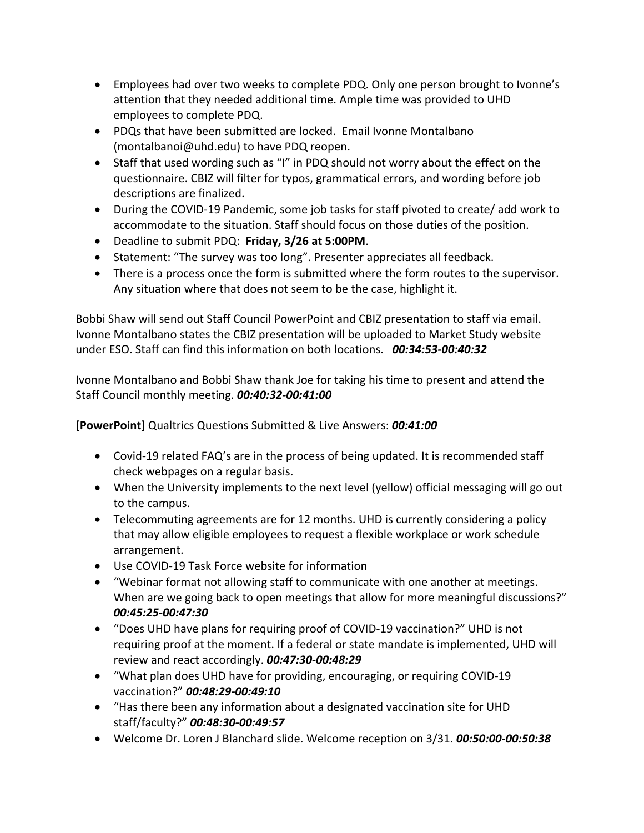- Employees had over two weeks to complete PDQ. Only one person brought to Ivonne's attention that they needed additional time. Ample time was provided to UHD employees to complete PDQ.
- PDQs that have been submitted are locked. Email Ivonne Montalbano (montalbanoi@uhd.edu) to have PDQ reopen.
- Staff that used wording such as "I" in PDQ should not worry about the effect on the questionnaire. CBIZ will filter for typos, grammatical errors, and wording before job descriptions are finalized.
- During the COVID-19 Pandemic, some job tasks for staff pivoted to create/ add work to accommodate to the situation. Staff should focus on those duties of the position.
- Deadline to submit PDQ: **Friday, 3/26 at 5:00PM**.
- Statement: "The survey was too long". Presenter appreciates all feedback.
- There is a process once the form is submitted where the form routes to the supervisor. Any situation where that does not seem to be the case, highlight it.

Bobbi Shaw will send out Staff Council PowerPoint and CBIZ presentation to staff via email. Ivonne Montalbano states the CBIZ presentation will be uploaded to Market Study website under ESO. Staff can find this information on both locations. *00:34:53-00:40:32*

Ivonne Montalbano and Bobbi Shaw thank Joe for taking his time to present and attend the Staff Council monthly meeting. *00:40:32-00:41:00*

# **[PowerPoint]** Qualtrics Questions Submitted & Live Answers: *00:41:00*

- Covid-19 related FAQ's are in the process of being updated. It is recommended staff check webpages on a regular basis.
- When the University implements to the next level (yellow) official messaging will go out to the campus.
- Telecommuting agreements are for 12 months. UHD is currently considering a policy that may allow eligible employees to request a flexible workplace or work schedule arrangement.
- Use COVID-19 Task Force website for information
- "Webinar format not allowing staff to communicate with one another at meetings. When are we going back to open meetings that allow for more meaningful discussions?" *00:45:25-00:47:30*
- "Does UHD have plans for requiring proof of COVID-19 vaccination?" UHD is not requiring proof at the moment. If a federal or state mandate is implemented, UHD will review and react accordingly. *00:47:30-00:48:29*
- "What plan does UHD have for providing, encouraging, or requiring COVID-19 vaccination?" *00:48:29-00:49:10*
- "Has there been any information about a designated vaccination site for UHD staff/faculty?" *00:48:30-00:49:57*
- Welcome Dr. Loren J Blanchard slide. Welcome reception on 3/31. *00:50:00-00:50:38*